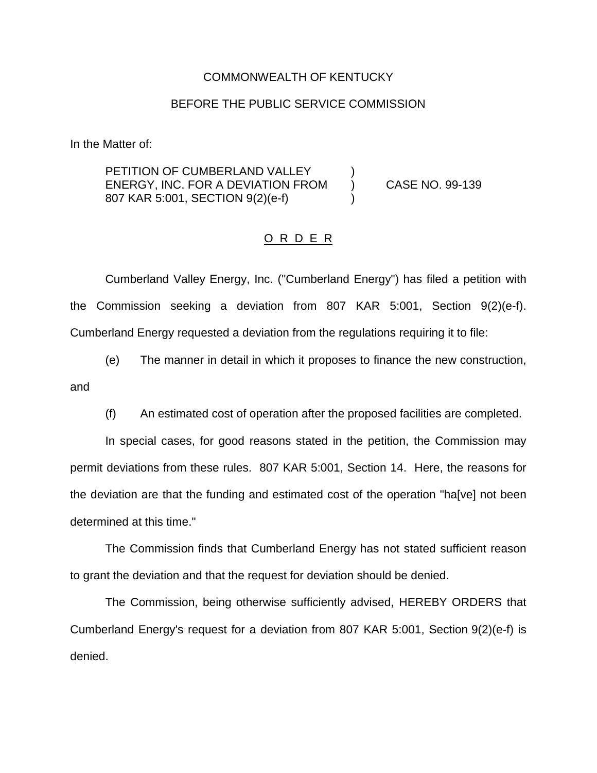## COMMONWEALTH OF KENTUCKY

## BEFORE THE PUBLIC SERVICE COMMISSION

In the Matter of:

PETITION OF CUMBERLAND VALLEY ENERGY, INC. FOR A DEVIATION FROM ) CASE NO. 99-139 807 KAR 5:001, SECTION 9(2)(e-f) )

## O R D E R

Cumberland Valley Energy, Inc. ("Cumberland Energy") has filed a petition with the Commission seeking a deviation from 807 KAR 5:001, Section 9(2)(e-f). Cumberland Energy requested a deviation from the regulations requiring it to file:

(e) The manner in detail in which it proposes to finance the new construction, and

(f) An estimated cost of operation after the proposed facilities are completed.

In special cases, for good reasons stated in the petition, the Commission may permit deviations from these rules. 807 KAR 5:001, Section 14. Here, the reasons for the deviation are that the funding and estimated cost of the operation "ha[ve] not been determined at this time."

The Commission finds that Cumberland Energy has not stated sufficient reason to grant the deviation and that the request for deviation should be denied.

The Commission, being otherwise sufficiently advised, HEREBY ORDERS that Cumberland Energy's request for a deviation from 807 KAR 5:001, Section 9(2)(e-f) is denied.